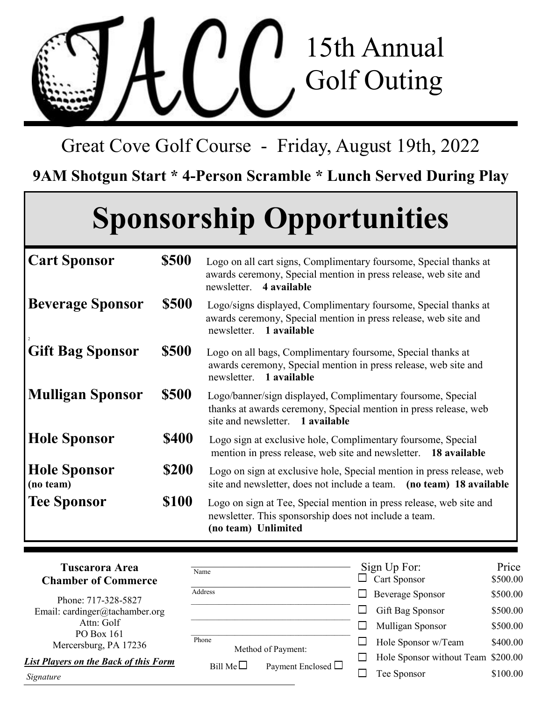

Great Cove Golf Course - Friday, August 19th, 2022

**9AM Shotgun Start \* 4-Person Scramble \* Lunch Served During Play**

## **Sponsorship Opportunities**

| <b>Cart Sponsor</b>              | \$500        | Logo on all cart signs, Complimentary foursome, Special thanks at<br>awards ceremony, Special mention in press release, web site and<br>4 available<br>newsletter.  |  |  |  |
|----------------------------------|--------------|---------------------------------------------------------------------------------------------------------------------------------------------------------------------|--|--|--|
| <b>Beverage Sponsor</b>          | <b>\$500</b> | Logo/signs displayed, Complimentary foursome, Special thanks at<br>awards ceremony, Special mention in press release, web site and<br>newsletter. 1 available       |  |  |  |
| <b>Gift Bag Sponsor</b>          | \$500        | Logo on all bags, Complimentary foursome, Special thanks at<br>awards ceremony, Special mention in press release, web site and<br>newsletter. 1 available           |  |  |  |
| <b>Mulligan Sponsor</b>          | <b>\$500</b> | Logo/banner/sign displayed, Complimentary foursome, Special<br>thanks at awards ceremony, Special mention in press release, web<br>site and newsletter. 1 available |  |  |  |
| <b>Hole Sponsor</b>              | <b>\$400</b> | Logo sign at exclusive hole, Complimentary foursome, Special<br>mention in press release, web site and newsletter.<br>18 available                                  |  |  |  |
| <b>Hole Sponsor</b><br>(no team) | \$200        | Logo on sign at exclusive hole, Special mention in press release, web<br>site and newsletter, does not include a team. (no team) 18 available                       |  |  |  |
| <b>Tee Sponsor</b>               | <b>\$100</b> | Logo on sign at Tee, Special mention in press release, web site and<br>newsletter. This sponsorship does not include a team.<br>(no team) Unlimited                 |  |  |  |

| <b>Tuscarora Area</b><br><b>Chamber of Commerce</b> | Name              |                         |              | Sign Up For:<br>$\Box$ Cart Sponsor | Price<br>\$500.00 |
|-----------------------------------------------------|-------------------|-------------------------|--------------|-------------------------------------|-------------------|
| Phone: 717-328-5827                                 | Address           |                         | $\mathsf{L}$ | <b>Beverage Sponsor</b>             | \$500.00          |
| Email: cardinger@tachamber.org                      |                   |                         |              | Gift Bag Sponsor                    | \$500.00          |
| Attn: Golf<br>PO Box 161                            |                   |                         |              | Mulligan Sponsor                    | \$500.00          |
| Mercersburg, PA 17236                               | Phone             | Method of Payment:      |              | Hole Sponsor w/Team                 | \$400.00          |
| <b>List Players on the Back of this Form</b>        | Bill Me $\square$ |                         |              | Hole Sponsor without Team \$200.00  |                   |
| Signature                                           |                   | Payment Enclosed $\Box$ |              | Tee Sponsor                         | \$100.00          |